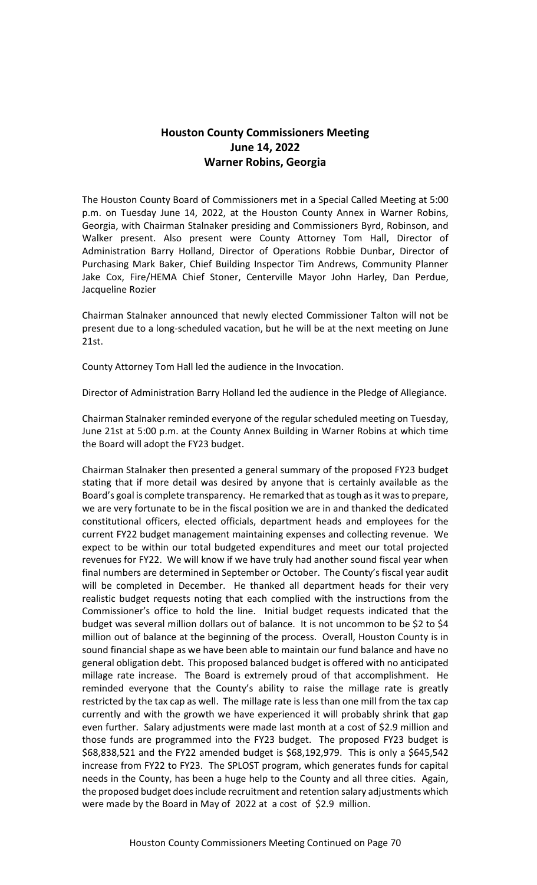## **Houston County Commissioners Meeting June 14, 2022 Warner Robins, Georgia**

The Houston County Board of Commissioners met in a Special Called Meeting at 5:00 p.m. on Tuesday June 14, 2022, at the Houston County Annex in Warner Robins, Georgia, with Chairman Stalnaker presiding and Commissioners Byrd, Robinson, and Walker present. Also present were County Attorney Tom Hall, Director of Administration Barry Holland, Director of Operations Robbie Dunbar, Director of Purchasing Mark Baker, Chief Building Inspector Tim Andrews, Community Planner Jake Cox, Fire/HEMA Chief Stoner, Centerville Mayor John Harley, Dan Perdue, Jacqueline Rozier

Chairman Stalnaker announced that newly elected Commissioner Talton will not be present due to a long-scheduled vacation, but he will be at the next meeting on June 21st.

County Attorney Tom Hall led the audience in the Invocation.

Director of Administration Barry Holland led the audience in the Pledge of Allegiance.

Chairman Stalnaker reminded everyone of the regular scheduled meeting on Tuesday, June 21st at 5:00 p.m. at the County Annex Building in Warner Robins at which time the Board will adopt the FY23 budget.

Chairman Stalnaker then presented a general summary of the proposed FY23 budget stating that if more detail was desired by anyone that is certainly available as the Board's goal is complete transparency. He remarked that as tough as it was to prepare, we are very fortunate to be in the fiscal position we are in and thanked the dedicated constitutional officers, elected officials, department heads and employees for the current FY22 budget management maintaining expenses and collecting revenue. We expect to be within our total budgeted expenditures and meet our total projected revenues for FY22. We will know if we have truly had another sound fiscal year when final numbers are determined in September or October. The County's fiscal year audit will be completed in December. He thanked all department heads for their very realistic budget requests noting that each complied with the instructions from the Commissioner's office to hold the line. Initial budget requests indicated that the budget was several million dollars out of balance. It is not uncommon to be \$2 to \$4 million out of balance at the beginning of the process. Overall, Houston County is in sound financial shape as we have been able to maintain our fund balance and have no general obligation debt. This proposed balanced budget is offered with no anticipated millage rate increase. The Board is extremely proud of that accomplishment. He reminded everyone that the County's ability to raise the millage rate is greatly restricted by the tax cap as well. The millage rate is less than one mill from the tax cap currently and with the growth we have experienced it will probably shrink that gap even further. Salary adjustments were made last month at a cost of \$2.9 million and those funds are programmed into the FY23 budget. The proposed FY23 budget is \$68,838,521 and the FY22 amended budget is \$68,192,979. This is only a \$645,542 increase from FY22 to FY23. The SPLOST program, which generates funds for capital needs in the County, has been a huge help to the County and all three cities. Again, the proposed budget does include recruitment and retention salary adjustments which were made by the Board in May of 2022 at a cost of \$2.9 million.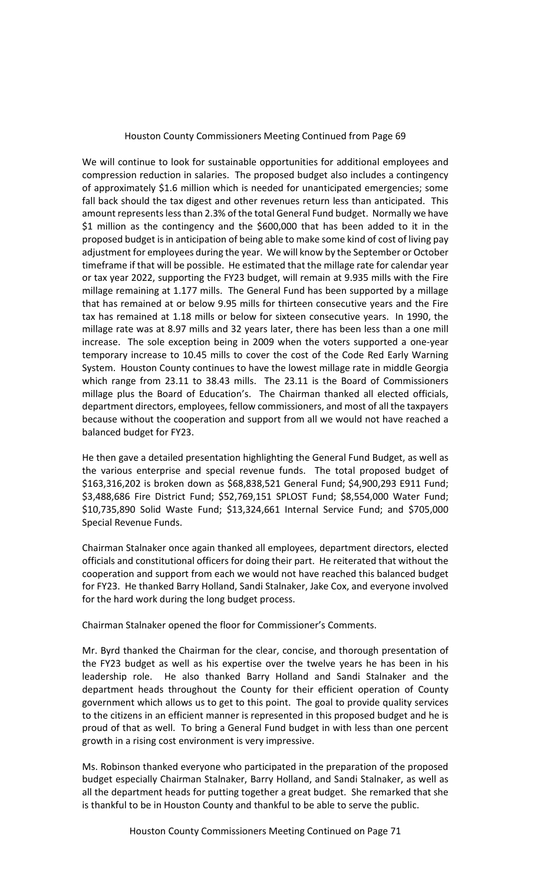## Houston County Commissioners Meeting Continued from Page 69

We will continue to look for sustainable opportunities for additional employees and compression reduction in salaries. The proposed budget also includes a contingency of approximately \$1.6 million which is needed for unanticipated emergencies; some fall back should the tax digest and other revenues return less than anticipated. This amount represents less than 2.3% of the total General Fund budget. Normally we have \$1 million as the contingency and the \$600,000 that has been added to it in the proposed budget is in anticipation of being able to make some kind of cost of living pay adjustment for employees during the year. We will know by the September or October timeframe if that will be possible. He estimated that the millage rate for calendar year or tax year 2022, supporting the FY23 budget, will remain at 9.935 mills with the Fire millage remaining at 1.177 mills. The General Fund has been supported by a millage that has remained at or below 9.95 mills for thirteen consecutive years and the Fire tax has remained at 1.18 mills or below for sixteen consecutive years. In 1990, the millage rate was at 8.97 mills and 32 years later, there has been less than a one mill increase. The sole exception being in 2009 when the voters supported a one-year temporary increase to 10.45 mills to cover the cost of the Code Red Early Warning System. Houston County continues to have the lowest millage rate in middle Georgia which range from 23.11 to 38.43 mills. The 23.11 is the Board of Commissioners millage plus the Board of Education's. The Chairman thanked all elected officials, department directors, employees, fellow commissioners, and most of all the taxpayers because without the cooperation and support from all we would not have reached a balanced budget for FY23.

He then gave a detailed presentation highlighting the General Fund Budget, as well as the various enterprise and special revenue funds. The total proposed budget of \$163,316,202 is broken down as \$68,838,521 General Fund; \$4,900,293 E911 Fund; \$3,488,686 Fire District Fund; \$52,769,151 SPLOST Fund; \$8,554,000 Water Fund; \$10,735,890 Solid Waste Fund; \$13,324,661 Internal Service Fund; and \$705,000 Special Revenue Funds.

Chairman Stalnaker once again thanked all employees, department directors, elected officials and constitutional officers for doing their part. He reiterated that without the cooperation and support from each we would not have reached this balanced budget for FY23. He thanked Barry Holland, Sandi Stalnaker, Jake Cox, and everyone involved for the hard work during the long budget process.

Chairman Stalnaker opened the floor for Commissioner's Comments.

Mr. Byrd thanked the Chairman for the clear, concise, and thorough presentation of the FY23 budget as well as his expertise over the twelve years he has been in his leadership role. He also thanked Barry Holland and Sandi Stalnaker and the department heads throughout the County for their efficient operation of County government which allows us to get to this point. The goal to provide quality services to the citizens in an efficient manner is represented in this proposed budget and he is proud of that as well. To bring a General Fund budget in with less than one percent growth in a rising cost environment is very impressive.

Ms. Robinson thanked everyone who participated in the preparation of the proposed budget especially Chairman Stalnaker, Barry Holland, and Sandi Stalnaker, as well as all the department heads for putting together a great budget. She remarked that she is thankful to be in Houston County and thankful to be able to serve the public.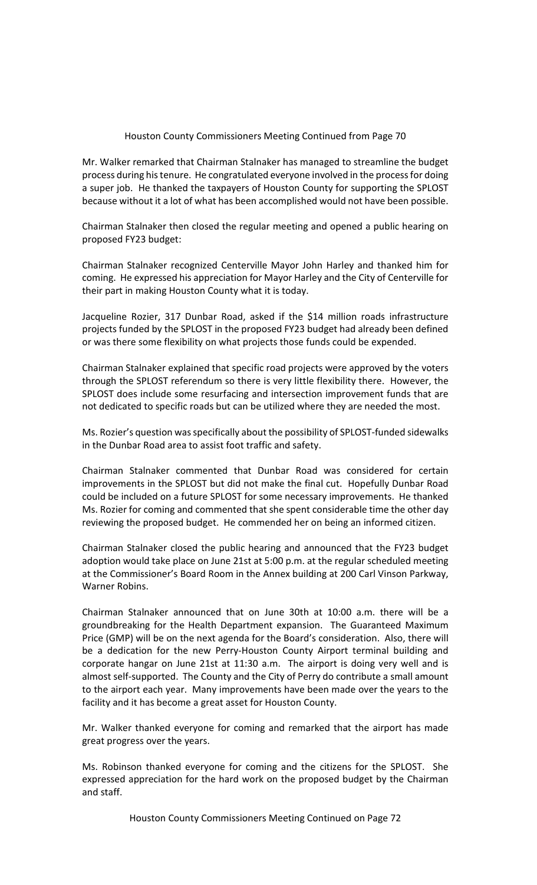## Houston County Commissioners Meeting Continued from Page 70

Mr. Walker remarked that Chairman Stalnaker has managed to streamline the budget process during his tenure. He congratulated everyone involved in the process for doing a super job. He thanked the taxpayers of Houston County for supporting the SPLOST because without it a lot of what has been accomplished would not have been possible.

Chairman Stalnaker then closed the regular meeting and opened a public hearing on proposed FY23 budget:

Chairman Stalnaker recognized Centerville Mayor John Harley and thanked him for coming. He expressed his appreciation for Mayor Harley and the City of Centerville for their part in making Houston County what it is today.

Jacqueline Rozier, 317 Dunbar Road, asked if the \$14 million roads infrastructure projects funded by the SPLOST in the proposed FY23 budget had already been defined or was there some flexibility on what projects those funds could be expended.

Chairman Stalnaker explained that specific road projects were approved by the voters through the SPLOST referendum so there is very little flexibility there. However, the SPLOST does include some resurfacing and intersection improvement funds that are not dedicated to specific roads but can be utilized where they are needed the most.

Ms. Rozier's question was specifically about the possibility of SPLOST-funded sidewalks in the Dunbar Road area to assist foot traffic and safety.

Chairman Stalnaker commented that Dunbar Road was considered for certain improvements in the SPLOST but did not make the final cut. Hopefully Dunbar Road could be included on a future SPLOST for some necessary improvements. He thanked Ms. Rozier for coming and commented that she spent considerable time the other day reviewing the proposed budget. He commended her on being an informed citizen.

Chairman Stalnaker closed the public hearing and announced that the FY23 budget adoption would take place on June 21st at 5:00 p.m. at the regular scheduled meeting at the Commissioner's Board Room in the Annex building at 200 Carl Vinson Parkway, Warner Robins.

Chairman Stalnaker announced that on June 30th at 10:00 a.m. there will be a groundbreaking for the Health Department expansion. The Guaranteed Maximum Price (GMP) will be on the next agenda for the Board's consideration. Also, there will be a dedication for the new Perry-Houston County Airport terminal building and corporate hangar on June 21st at 11:30 a.m. The airport is doing very well and is almost self-supported. The County and the City of Perry do contribute a small amount to the airport each year. Many improvements have been made over the years to the facility and it has become a great asset for Houston County.

Mr. Walker thanked everyone for coming and remarked that the airport has made great progress over the years.

Ms. Robinson thanked everyone for coming and the citizens for the SPLOST. She expressed appreciation for the hard work on the proposed budget by the Chairman and staff.

Houston County Commissioners Meeting Continued on Page 72